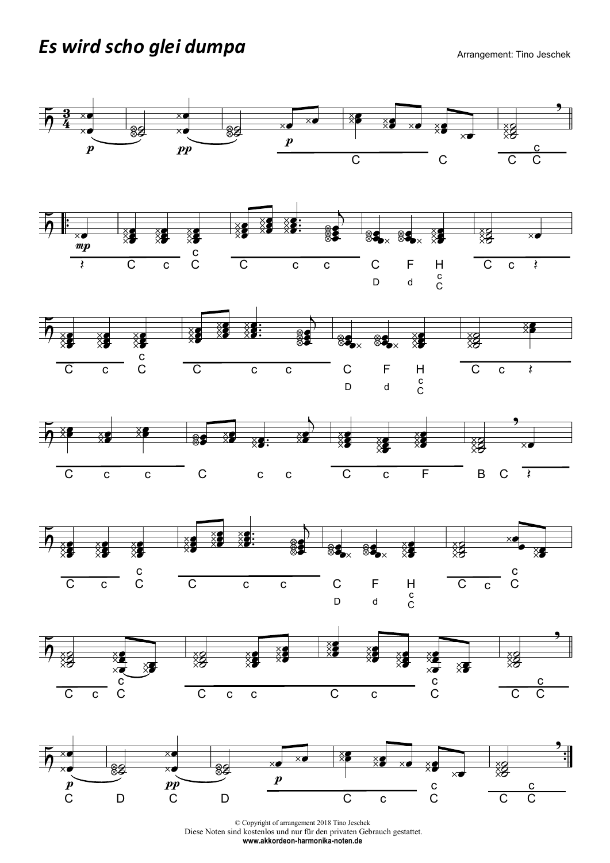## Es wird scho glei dumpa Arrangement: Tino Jeschek



© Copyright of arrangement 2018 Tino Jeschek Diese Noten sind kostenlos und nur für den privaten Gebrauch gestattet. www.akkordeon-harmonika-noten.de